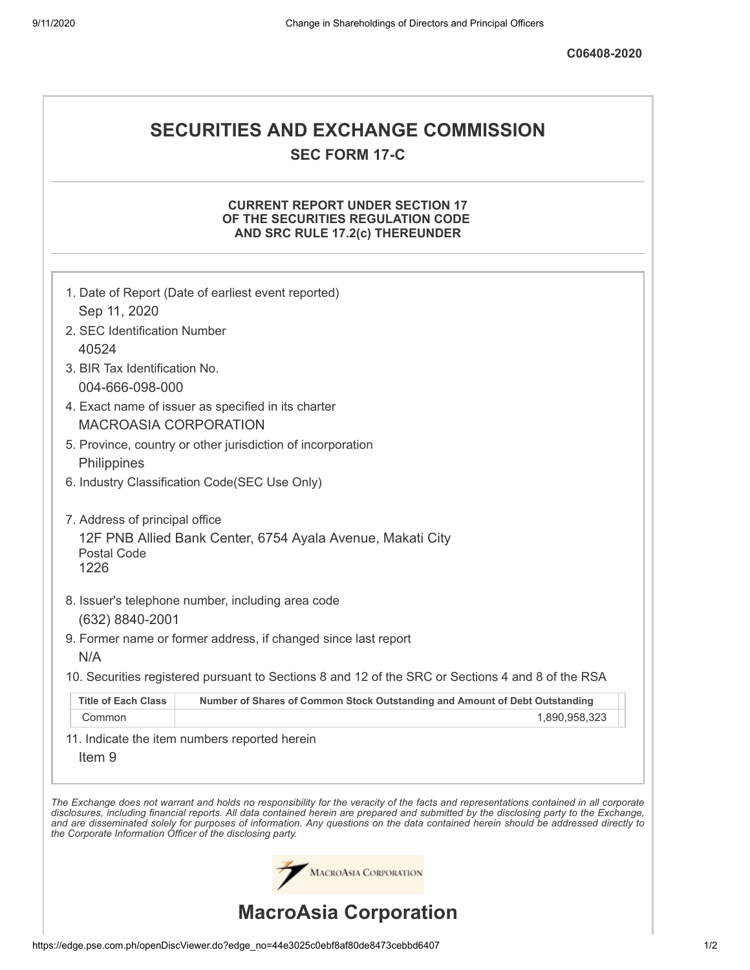# **SECURITIES AND EXCHANGE COMMISSION SEC FORM 17-C**

# **CURRENT REPORT UNDER SECTION 17 OF THE SECURITIES REGULATION CODE AND SRC RULE 17.2(c) THEREUNDER**

|                                                              | 1. Date of Report (Date of earliest event reported)                                                                                                                                                                                                                                                                                                                                                                      |
|--------------------------------------------------------------|--------------------------------------------------------------------------------------------------------------------------------------------------------------------------------------------------------------------------------------------------------------------------------------------------------------------------------------------------------------------------------------------------------------------------|
| Sep 11, 2020                                                 |                                                                                                                                                                                                                                                                                                                                                                                                                          |
| 2. SEC Identification Number                                 |                                                                                                                                                                                                                                                                                                                                                                                                                          |
| 40524                                                        |                                                                                                                                                                                                                                                                                                                                                                                                                          |
| 3. BIR Tax Identification No.                                |                                                                                                                                                                                                                                                                                                                                                                                                                          |
| 004-666-098-000                                              |                                                                                                                                                                                                                                                                                                                                                                                                                          |
| <b>MACROASIA CORPORATION</b>                                 | 4. Exact name of issuer as specified in its charter                                                                                                                                                                                                                                                                                                                                                                      |
|                                                              | 5. Province, country or other jurisdiction of incorporation                                                                                                                                                                                                                                                                                                                                                              |
| Philippines                                                  |                                                                                                                                                                                                                                                                                                                                                                                                                          |
|                                                              | 6. Industry Classification Code(SEC Use Only)                                                                                                                                                                                                                                                                                                                                                                            |
| 7. Address of principal office<br><b>Postal Code</b><br>1226 | 12F PNB Allied Bank Center, 6754 Ayala Avenue, Makati City                                                                                                                                                                                                                                                                                                                                                               |
| (632) 8840-2001<br>N/A                                       | 8. Issuer's telephone number, including area code<br>9. Former name or former address, if changed since last report                                                                                                                                                                                                                                                                                                      |
|                                                              | 10. Securities registered pursuant to Sections 8 and 12 of the SRC or Sections 4 and 8 of the RSA                                                                                                                                                                                                                                                                                                                        |
| <b>Title of Each Class</b>                                   | Number of Shares of Common Stock Outstanding and Amount of Debt Outstanding                                                                                                                                                                                                                                                                                                                                              |
| Common                                                       | 1,890,958,323                                                                                                                                                                                                                                                                                                                                                                                                            |
| Item <sub>9</sub>                                            | 11. Indicate the item numbers reported herein                                                                                                                                                                                                                                                                                                                                                                            |
| the Corporate Information Officer of the disclosing party.   | The Exchange does not warrant and holds no responsibility for the veracity of the facts and representations contained in all corporate<br>disclosures, including financial reports. All data contained herein are prepared and submitted by the disclosing party to the Exchange,<br>and are disseminated solely for purposes of information. Any questions on the data contained herein should be addressed directly to |
|                                                              | MACROASIA CORPORATION                                                                                                                                                                                                                                                                                                                                                                                                    |
|                                                              | <b>MacroAsia Corporation</b>                                                                                                                                                                                                                                                                                                                                                                                             |